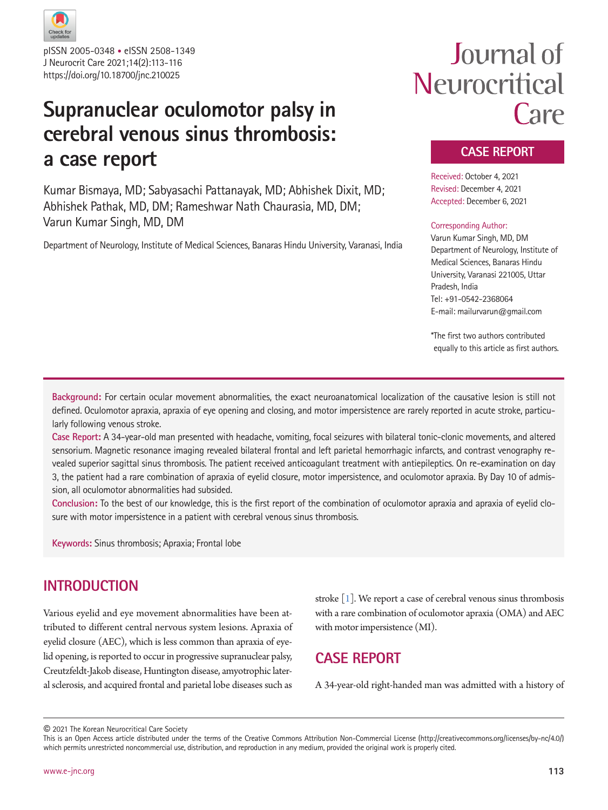

J Neurocrit Care 2021;14(2):113-116 https://doi.org/10.18700/jnc.210025 pISSN 2005-0348 • eISSN 2508-1349

## **Supranuclear oculomotor palsy in cerebral venous sinus thrombosis: a case report**

Kumar Bismaya, MD; Sabyasachi Pattanayak, MD; Abhishek Dixit, MD; Abhishek Pathak, MD, DM; Rameshwar Nath Chaurasia, MD, DM; Varun Kumar Singh, MD, DM

Department of Neurology, Institute of Medical Sciences, Banaras Hindu University, Varanasi, India

# Journal of Neurocritical Care

## **CASE REPORT**

Received: October 4, 2021 Revised: December 4, 2021 Accepted: December 6, 2021

#### Corresponding Author:

Varun Kumar Singh, MD, DM Department of Neurology, Institute of Medical Sciences, Banaras Hindu University, Varanasi 221005, Uttar Pradesh, India Tel: +91-0542-2368064 E-mail: mailurvarun@gmail.com

\*The first two authors contributed equally to this article as first authors.

**Background:** For certain ocular movement abnormalities, the exact neuroanatomical localization of the causative lesion is still not defined. Oculomotor apraxia, apraxia of eye opening and closing, and motor impersistence are rarely reported in acute stroke, particularly following venous stroke.

**Case Report:** A 34-year-old man presented with headache, vomiting, focal seizures with bilateral tonic-clonic movements, and altered sensorium. Magnetic resonance imaging revealed bilateral frontal and left parietal hemorrhagic infarcts, and contrast venography revealed superior sagittal sinus thrombosis. The patient received anticoagulant treatment with antiepileptics. On re-examination on day 3, the patient had a rare combination of apraxia of eyelid closure, motor impersistence, and oculomotor apraxia. By Day 10 of admission, all oculomotor abnormalities had subsided.

**Conclusion:** To the best of our knowledge, this is the first report of the combination of oculomotor apraxia and apraxia of eyelid closure with motor impersistence in a patient with cerebral venous sinus thrombosis.

**Keywords:** Sinus thrombosis; Apraxia; Frontal lobe

## **INTRODUCTION**

Various eyelid and eye movement abnormalities have been attributed to different central nervous system lesions. Apraxia of eyelid closure (AEC), which is less common than apraxia of eyelid opening, is reported to occur in progressive supranuclear palsy, Creutzfeldt-Jakob disease, Huntington disease, amyotrophic lateral sclerosis, and acquired frontal and parietal lobe diseases such as

stroke [\[1](#page-2-0)]. We report a case of cerebral venous sinus thrombosis with a rare combination of oculomotor apraxia (OMA) and AEC with motor impersistence (MI).

## **CASE REPORT**

A 34-year-old right-handed man was admitted with a history of

© 2021 The Korean Neurocritical Care Society

This is an Open Access article distributed under the terms of the Creative Commons Attribution Non-Commercial License (http://creativecommons.org/licenses/by-nc/4.0/) which permits unrestricted noncommercial use, distribution, and reproduction in any medium, provided the original work is properly cited.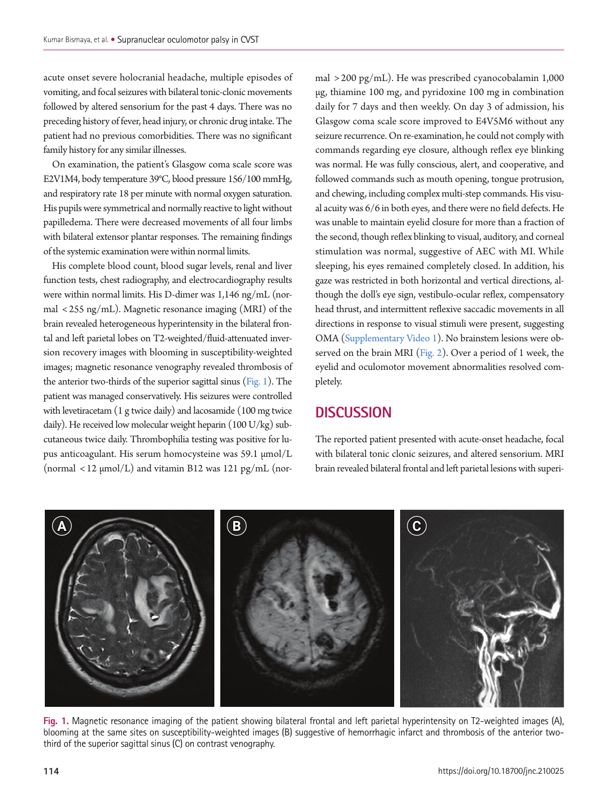acute onset severe holocranial headache, multiple episodes of vomiting, and focal seizures with bilateral tonic-clonic movements followed by altered sensorium for the past 4 days. There was no preceding history of fever, head injury, or chronic drug intake. The patient had no previous comorbidities. There was no significant family history for any similar illnesses.

On examination, the patient's Glasgow coma scale score was E2V1M4, body temperature 39°C, blood pressure 156/100 mmHg, and respiratory rate 18 per minute with normal oxygen saturation. His pupils were symmetrical and normally reactive to light without papilledema. There were decreased movements of all four limbs with bilateral extensor plantar responses. The remaining findings of the systemic examination were within normal limits.

His complete blood count, blood sugar levels, renal and liver function tests, chest radiography, and electrocardiography results were within normal limits. His D-dimer was 1,146 ng/mL (normal < 255 ng/mL). Magnetic resonance imaging (MRI) of the brain revealed heterogeneous hyperintensity in the bilateral frontal and left parietal lobes on T2-weighted/fluid-attenuated inversion recovery images with blooming in susceptibility-weighted images; magnetic resonance venography revealed thrombosis of the anterior two-thirds of the superior sagittal sinus [\(Fig. 1](#page-1-0)). The patient was managed conservatively. His seizures were controlled with levetiracetam (1 g twice daily) and lacosamide (100 mg twice daily). He received low molecular weight heparin (100 U/kg) subcutaneous twice daily. Thrombophilia testing was positive for lupus anticoagulant. His serum homocysteine was 59.1 µmol/L (normal  $\langle 12 \mu \text{mol/L} \rangle$  and vitamin B12 was 121 pg/mL (nor-

mal > 200 pg/mL). He was prescribed cyanocobalamin 1,000 µg, thiamine 100 mg, and pyridoxine 100 mg in combination daily for 7 days and then weekly. On day 3 of admission, his Glasgow coma scale score improved to E4V5M6 without any seizure recurrence. On re-examination, he could not comply with commands regarding eye closure, although reflex eye blinking was normal. He was fully conscious, alert, and cooperative, and followed commands such as mouth opening, tongue protrusion, and chewing, including complex multi-step commands. His visual acuity was 6/6 in both eyes, and there were no field defects. He was unable to maintain eyelid closure for more than a fraction of the second, though reflex blinking to visual, auditory, and corneal stimulation was normal, suggestive of AEC with MI. While sleeping, his eyes remained completely closed. In addition, his gaze was restricted in both horizontal and vertical directions, although the doll's eye sign, vestibulo-ocular reflex, compensatory head thrust, and intermittent reflexive saccadic movements in all directions in response to visual stimuli were present, suggesting OMA [\(Supplementary Video 1](#page-3-0)). No brainstem lesions were observed on the brain MRI [\(Fig. 2\)](#page-2-1). Over a period of 1 week, the eyelid and oculomotor movement abnormalities resolved completely.

## **DISCUSSION**

The reported patient presented with acute-onset headache, focal with bilateral tonic clonic seizures, and altered sensorium. MRI brain revealed bilateral frontal and left parietal lesions with superi-

<span id="page-1-0"></span>

**Fig. 1.** Magnetic resonance imaging of the patient showing bilateral frontal and left parietal hyperintensity on T2-weighted images (A), blooming at the same sites on susceptibility-weighted images (B) suggestive of hemorrhagic infarct and thrombosis of the anterior twothird of the superior sagittal sinus (C) on contrast venography.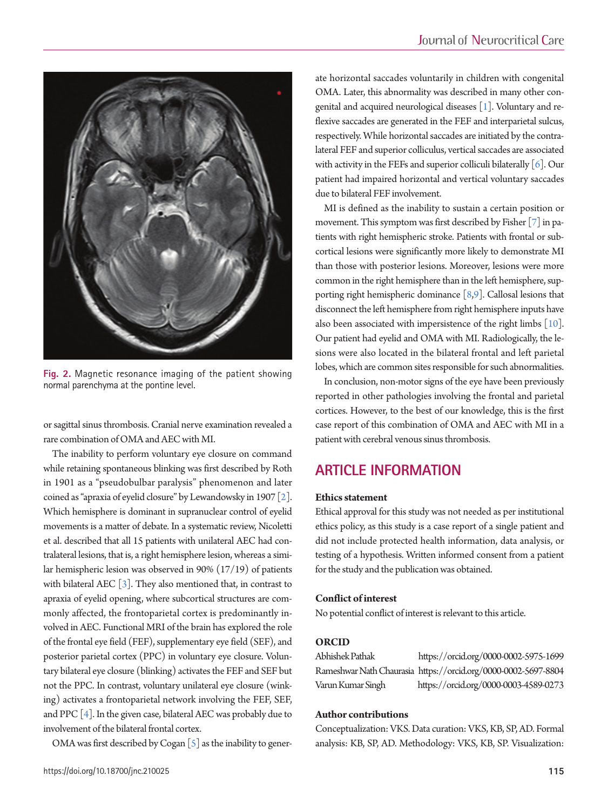<span id="page-2-1"></span>

**Fig. 2.** Magnetic resonance imaging of the patient showing normal parenchyma at the pontine level.

or sagittal sinus thrombosis. Cranial nerve examination revealed a rare combination of OMA and AEC with MI.

The inability to perform voluntary eye closure on command while retaining spontaneous blinking was first described by Roth in 1901 as a "pseudobulbar paralysis" phenomenon and later coined as "apraxia of eyelid closure" by Lewandowsky in 1907 [\[2](#page-3-1)]. Which hemisphere is dominant in supranuclear control of eyelid movements is a matter of debate. In a systematic review, Nicoletti et al. described that all 15 patients with unilateral AEC had contralateral lesions, that is, a right hemisphere lesion, whereas a similar hemispheric lesion was observed in 90% (17/19) of patients with bilateral AEC  $[3]$  $[3]$ . They also mentioned that, in contrast to apraxia of eyelid opening, where subcortical structures are commonly affected, the frontoparietal cortex is predominantly involved in AEC. Functional MRI of the brain has explored the role of the frontal eye field (FEF), supplementary eye field (SEF), and posterior parietal cortex (PPC) in voluntary eye closure. Voluntary bilateral eye closure (blinking) activates the FEF and SEF but not the PPC. In contrast, voluntary unilateral eye closure (winking) activates a frontoparietal network involving the FEF, SEF, and PPC [\[4\]](#page-3-3). In the given case, bilateral AEC was probably due to involvement of the bilateral frontal cortex.

OMA was first described by Cogan  $\lceil 5 \rceil$  as the inability to gener-

ate horizontal saccades voluntarily in children with congenital OMA. Later, this abnormality was described in many other congenital and acquired neurological diseases [1]. Voluntary and reflexive saccades are generated in the FEF and interparietal sulcus, respectively. While horizontal saccades are initiated by the contralateral FEF and superior colliculus, vertical saccades are associated with activity in the FEFs and superior colliculi bilaterally  $[6]$ . Our patient had impaired horizontal and vertical voluntary saccades due to bilateral FEF involvement.

MI is defined as the inability to sustain a certain position or movement. This symptom was first described by Fisher [\[7\]](#page-3-6) in patients with right hemispheric stroke. Patients with frontal or subcortical lesions were significantly more likely to demonstrate MI than those with posterior lesions. Moreover, lesions were more common in the right hemisphere than in the left hemisphere, supporting right hemispheric dominance [\[8](#page-3-7)[,9\]](#page-3-8). Callosal lesions that disconnect the left hemisphere from right hemisphere inputs have also been associated with impersistence of the right limbs [\[10\]](#page-3-9). Our patient had eyelid and OMA with MI. Radiologically, the lesions were also located in the bilateral frontal and left parietal lobes, which are common sites responsible for such abnormalities.

In conclusion, non-motor signs of the eye have been previously reported in other pathologies involving the frontal and parietal cortices. However, to the best of our knowledge, this is the first case report of this combination of OMA and AEC with MI in a patient with cerebral venous sinus thrombosis.

## **ARTICLE INFORMATION**

#### **Ethics statement**

Ethical approval for this study was not needed as per institutional ethics policy, as this study is a case report of a single patient and did not include protected health information, data analysis, or testing of a hypothesis. Written informed consent from a patient for the study and the publication was obtained.

#### **Conflict of interest**

No potential conflict of interest is relevant to this article.

#### <span id="page-2-0"></span>**ORCID**

| Abhishek Pathak   | https://orcid.org/0000-0002-5975-1699                          |
|-------------------|----------------------------------------------------------------|
|                   | Rameshwar Nath Chaurasia https://orcid.org/0000-0002-5697-8804 |
| Varun Kumar Singh | https://orcid.org/0000-0003-4589-0273                          |

#### **Author contributions**

Conceptualization: VKS. Data curation: VKS, KB, SP, AD. Formal analysis: KB, SP, AD. Methodology: VKS, KB, SP. Visualization: